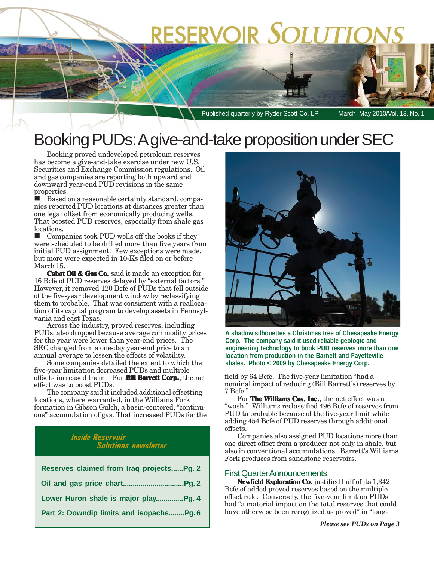# **RESERVOIR SOLUTIC**

Published quarterly by Ryder Scott Co. LP March–May 2010/Vol. 13, No. 1

## Booking PUDs: A give-and-take proposition under SEC

Booking proved undeveloped petroleum reserves has become a give-and-take exercise under new U.S. Securities and Exchange Commission regulations. Oil and gas companies are reporting both upward and downward year-end PUD revisions in the same properties.

 Based on a reasonable certainty standard, companies reported PUD locations at distances greater than one legal offset from economically producing wells. That boosted PUD reserves, especially from shale gas locations.

 $\blacksquare$  Companies took PUD wells off the books if they were scheduled to be drilled more than five years from initial PUD assignment. Few exceptions were made, but more were expected in 10-Ks filed on or before March 15.

**Cabot Oil & Gas Co.** said it made an exception for 16 Bcfe of PUD reserves delayed by "external factors." However, it removed 120 Bcfe of PUDs that fell outside of the five-year development window by reclassifying them to probable. That was consistent with a reallocation of its capital program to develop assets in Pennsylvania and east Texas.

Across the industry, proved reserves, including PUDs, also dropped because average commodity prices for the year were lower than year-end prices. The SEC changed from a one-day year-end price to an annual average to lessen the effects of volatility.

Some companies detailed the extent to which the five-year limitation decreased PUDs and multiple offsets increased them. For **Bill Barrett Corp.**, the net effect was to boost PUDs.

The company said it included additional offsetting locations, where warranted, in the Williams Fork formation in Gibson Gulch, a basin-centered, "continuous" accumulation of gas. That increased PUDs for the

### *Inside Reservoir Solutions newsletter*

| Reserves claimed from Iraq projectsPg. 2 |
|------------------------------------------|
|                                          |
| Lower Huron shale is major play Pg. 4    |
| Part 2: Downdip limits and isopachsPg.6  |



**A shadow silhouettes a Christmas tree of Chesapeake Energy Corp. The company said it used reliable geologic and engineering technology to book PUD reserves more than one location from production in the Barnett and Fayetteville shales. Photo © 2009 by Chesapeake Energy Corp.**

field by 64 Bcfe. The five-year limitation "had a nominal impact of reducing (Bill Barrett's) reserves by 7 Bcfe."

For **The Williams Cos. Inc.**, the net effect was a "wash." Williams reclassified 496 Bcfe of reserves from PUD to probable because of the five-year limit while adding 454 Bcfe of PUD reserves through additional offsets.

Companies also assigned PUD locations more than one direct offset from a producer not only in shale, but also in conventional accumulations. Barrett's Williams Fork produces from sandstone reservoirs.

### First Quarter Announcements

**Newfield Exploration Co.** justified half of its 1,342 Bcfe of added proved reserves based on the multiple offset rule. Conversely, the five-year limit on PUDs had "a material impact on the total reserves that could have otherwise been recognized as proved" in "long-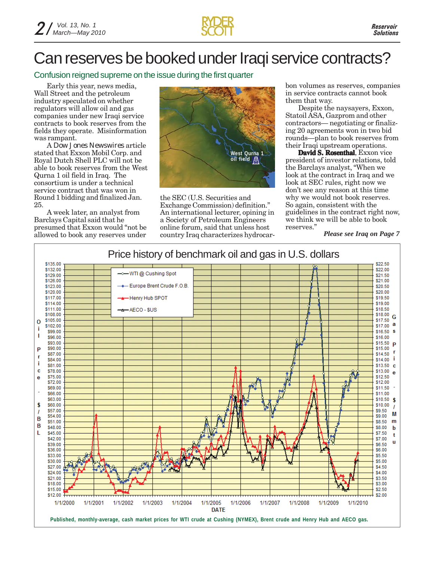

## Can reserves be booked under Iraqi service contracts?

Confusion reigned supreme on the issue during the first quarter

Early this year, news media, Wall Street and the petroleum industry speculated on whether regulators will allow oil and gas companies under new Iraqi service contracts to book reserves from the fields they operate. Misinformation was rampant.

A *Dow Jones Newswires* article stated that Exxon Mobil Corp. and Royal Dutch Shell PLC will not be able to book reserves from the West Qurna 1 oil field in Iraq. The consortium is under a technical service contract that was won in Round 1 bidding and finalized Jan. 25.

A week later, an analyst from Barclays Capital said that he presumed that Exxon would "not be allowed to book any reserves under



the SEC (U.S. Securities and Exchange Commission) definition." An international lecturer, opining in a Society of Petroleum Engineers online forum, said that unless host country Iraq characterizes hydrocarbon volumes as reserves, companies in service contracts cannot book them that way.

Despite the naysayers, Exxon, Statoil ASA, Gazprom and other contractors— negotiating or finalizing 20 agreements won in two bid rounds—plan to book reserves from their Iraqi upstream operations.

David S. Rosenthal, Exxon vice president of investor relations, told the Barclays analyst, "When we look at the contract in Iraq and we look at SEC rules, right now we don't see any reason at this time why we would not book reserves. So again, consistent with the guidelines in the contract right now, we think we will be able to book reserves."

*Please see Iraq on Page 7*

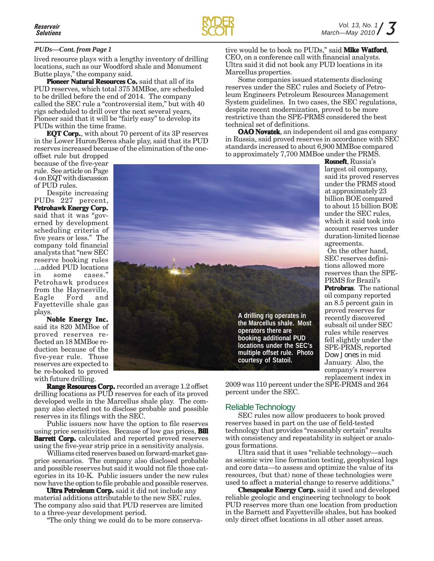

**Rosneft**, Russia's largest oil company, said its proved reserves under the PRMS stood at approximately 23 billion BOE compared to about 15 billion BOE under the SEC rules, which it said took into account reserves under duration-limited license

agreements.

On the other hand, SEC reserves definitions allowed more reserves than the SPE-PRMS for Brazil's **Petrobras**. The national oil company reported an 8.5 percent gain in proved reserves for recently discovered subsalt oil under SEC rules while reserves fell slightly under the SPE-PRMS, reported *Dow Jones* in mid January. Also, the company's reserves replacement index in

### *PUDs—Cont. from Page 1*

lived resource plays with a lengthy inventory of drilling locations, such as our Woodford shale and Monument Butte plays," the company said.

**Pioneer Natural Resources Co.** said that all of its PUD reserves, which total 375 MMBoe, are scheduled to be drilled before the end of 2014. The company called the SEC rule a "controversial item," but with 40 rigs scheduled to drill over the next several years, Pioneer said that it will be "fairly easy" to develop its PUDs within the time frame.

**EQT Corp.**, with about 70 percent of its 3P reserves in the Lower Huron/Berea shale play, said that its PUD reserves increased because of the elimination of the one-

offset rule but dropped because of the five-year rule. See article on Page 4 on EQT with discussion of PUD rules.

Despite increasing PUDs 227 percent, **Petrohawk Energy Corp.** said that it was "governed by development scheduling criteria of five years or less." The company told financial analysts that "new SEC reserve booking rules …added PUD locations in some cases." Petrohawk produces from the Haynesville, Eagle Ford and Fayetteville shale gas plays.

**Noble Energy Inc. Noble**  said its 820 MMBoe of proved reserves reflected an 18 MMBoe reduction because of the five-year rule. Those reserves are expected to be re-booked to proved with future drilling.

**A drilling rig operates in the Marcellus shale. Most operators there are booking additional PUD locations under the SEC's multiple offset rule. Photo courtesy of Statoil.**

**Range Resources Corp.** recorded an average 1.2 offset drilling locations as PUD reserves for each of its proved developed wells in the Marcellus shale play. The company also elected not to disclose probable and possible reserves in its filings with the SEC.

Public issuers now have the option to file reserves using price sensitivities. Because of low gas prices, **Bill Barrett Corp.** calculated and reported proved reserves using the five-year strip price in a sensitivity analysis.

Williams cited reserves based on forward-market gasprice scenarios. The company also disclosed probable and possible reserves but said it would not file those categories in its 10-K. Public issuers under the new rules now have the option to file probable and possible reserves.

**Ultra Petroleum Corp.** said it did not include any material additions attributable to the new SEC rules. The company also said that PUD reserves are limited to a three-year development period.

"The only thing we could do to be more conserva-

2009 was 110 percent under the SPE-PRMS and 264 percent under the SEC.

### Reliable Technology

SEC rules now allow producers to book proved reserves based in part on the use of field-tested technology that provides "reasonably certain" results with consistency and repeatability in subject or analogous formations.

Ultra said that it uses "reliable technology—such as seismic wire line formation testing, geophysical logs and core data—to assess and optimize the value of its resources, (but that) none of these technologies were used to affect a material change to reserve additions."

**Chesapeake Energy Corp. Chesapeake Corp.** said it used and developed reliable geologic and engineering technology to book PUD reserves more than one location from production in the Barnett and Fayetteville shales, but has booked only direct offset locations in all other asset areas.

tive would be to book no PUDs," said **Mike Watford**, CEO, on a conference call with financial analysts. Ultra said it did not book any PUD locations in its Marcellus properties.

Some companies issued statements disclosing reserves under the SEC rules and Society of Petroleum Engineers Petroleum Resources Management System guidelines. In two cases, the SEC regulations, despite recent modernization, proved to be more restrictive than the SPE-PRMS considered the best technical set of definitions.

**OAO Novatek**, an independent oil and gas company in Russia, said proved reserves in accordance with SEC standards increased to about 6,900 MMBoe compared to approximately 7,700 MMBoe under the PRMS.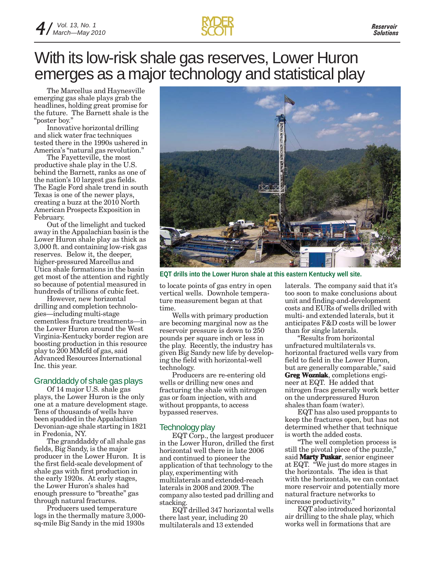## With its low-risk shale gas reserves, Lower Huron emerges as a major technology and statistical play

The Marcellus and Haynesville emerging gas shale plays grab the headlines, holding great promise for the future. The Barnett shale is the "poster boy."

Innovative horizontal drilling and slick water frac techniques tested there in the 1990s ushered in America's "natural gas revolution."

The Fayetteville, the most productive shale play in the U.S. behind the Barnett, ranks as one of the nation's 10 largest gas fields. The Eagle Ford shale trend in south Texas is one of the newer plays, creating a buzz at the 2010 North American Prospects Exposition in February.

Out of the limelight and tucked away in the Appalachian basin is the Lower Huron shale play as thick as 3,000 ft. and containing low-risk gas reserves. Below it, the deeper, higher-pressured Marcellus and Utica shale formations in the basin get most of the attention and rightly so because of potential measured in hundreds of trillions of cubic feet.

However, new horizontal drilling and completion technologies—including multi-stage cementless fracture treatments—in the Lower Huron around the West Virginia-Kentucky border region are boosting production in this resource play to 200 MMcfd of gas, said Advanced Resources International Inc. this year.

### Granddaddy of shale gas plays

Of 14 major U.S. shale gas plays, the Lower Huron is the only one at a mature development stage. Tens of thousands of wells have been spudded in the Appalachian Devonian-age shale starting in 1821 in Fredonia, NY.

The granddaddy of all shale gas fields, Big Sandy, is the major producer in the Lower Huron. It is the first field-scale development of shale gas with first production in the early 1920s. At early stages, the Lower Huron's shales had enough pressure to "breathe" gas through natural fractures.

Producers used temperature logs in the thermally mature 3,000 sq-mile Big Sandy in the mid 1930s



**EQT drills into the Lower Huron shale at this eastern Kentucky well site.**

to locate points of gas entry in open vertical wells. Downhole temperature measurement began at that time.

Wells with primary production are becoming marginal now as the reservoir pressure is down to 250 pounds per square inch or less in the play. Recently, the industry has given Big Sandy new life by developing the field with horizontal-well technology.

Producers are re-entering old wells or drilling new ones and fracturing the shale with nitrogen gas or foam injection, with and without proppants, to access bypassed reserves.

### Technology play

EQT Corp., the largest producer in the Lower Huron, drilled the first horizontal well there in late 2006 and continued to pioneer the application of that technology to the play, experimenting with multilaterals and extended-reach laterals in 2008 and 2009. The company also tested pad drilling and stacking.

EQT drilled 347 horizontal wells there last year, including 20 multilaterals and 13 extended

laterals. The company said that it's too soon to make conclusions about unit and finding-and-development costs and EURs of wells drilled with multi- and extended laterals, but it anticipates F&D costs will be lower than for single laterals.

"Results from horizontal unfractured multilaterals vs. horizontal fractured wells vary from field to field in the Lower Huron, but are generally comparable," said **Greg Wozniak**, completions engineer at EQT. He added that nitrogen fracs generally work better on the underpressured Huron shales than foam (water).

EQT has also used proppants to keep the fractures open, but has not determined whether that technique is worth the added costs.

"The well completion process is still the pivotal piece of the puzzle," said **Marty Puskar**, senior engineer at EQT. "We just do more stages in the horizontals. The idea is that with the horizontals, we can contact more reservoir and potentially more natural fracture networks to increase productivity."

EQT also introduced horizontal air drilling to the shale play, which works well in formations that are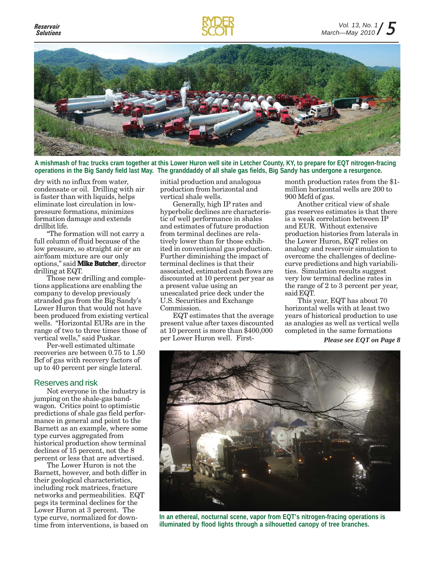

**A mishmash of frac trucks cram together at this Lower Huron well site in Letcher County, KY, to prepare for EQT nitrogen-fracing operations in the Big Sandy field last May. The granddaddy of all shale gas fields, Big Sandy has undergone a resurgence.**

dry with no influx from water, condensate or oil. Drilling with air is faster than with liquids, helps eliminate lost circulation in lowpressure formations, minimizes formation damage and extends drillbit life.

"The formation will not carry a full column of fluid because of the low pressure, so straight air or an air/foam mixture are our only options," said **Mike Butcher**, director drilling at EQT.

Those new drilling and completions applications are enabling the company to develop previously stranded gas from the Big Sandy's Lower Huron that would not have been produced from existing vertical wells. "Horizontal EURs are in the range of two to three times those of vertical wells," said Puskar.

Per-well estimated ultimate recoveries are between 0.75 to 1.50 Bcf of gas with recovery factors of up to 40 percent per single lateral.

### Reserves and risk

Not everyone in the industry is jumping on the shale-gas bandwagon. Critics point to optimistic predictions of shale gas field performance in general and point to the Barnett as an example, where some type curves aggregated from historical production show terminal declines of 15 percent, not the 8 percent or less that are advertised.

The Lower Huron is not the Barnett, however, and both differ in their geological characteristics, including rock matrices, fracture networks and permeabilities. EQT pegs its terminal declines for the Lower Huron at 3 percent. The type curve, normalized for downtime from interventions, is based on initial production and analogous production from horizontal and vertical shale wells.

Generally, high IP rates and hyperbolic declines are characteristic of well performance in shales and estimates of future production from terminal declines are relatively lower than for those exhibited in conventional gas production. Further diminishing the impact of terminal declines is that their associated, estimated cash flows are discounted at 10 percent per year as a present value using an unescalated price deck under the U.S. Securities and Exchange Commission.

EQT estimates that the average present value after taxes discounted at 10 percent is more than \$400,000 per Lower Huron well. Firstmonth production rates from the \$1 million horizontal wells are 200 to 900 Mcfd of gas.

Another critical view of shale gas reserves estimates is that there is a weak correlation between IP and EUR. Without extensive production histories from laterals in the Lower Huron, EQT relies on analogy and reservoir simulation to overcome the challenges of declinecurve predictions and high variabilities. Simulation results suggest very low terminal decline rates in the range of 2 to 3 percent per year, said EQT.

This year, EQT has about 70 horizontal wells with at least two years of historical production to use as analogies as well as vertical wells completed in the same formations

*Please see EQT on Page 8*



**In an ethereal, nocturnal scene, vapor from EQT's nitrogen-fracing operations is illuminated by flood lights through a silhouetted canopy of tree branches.**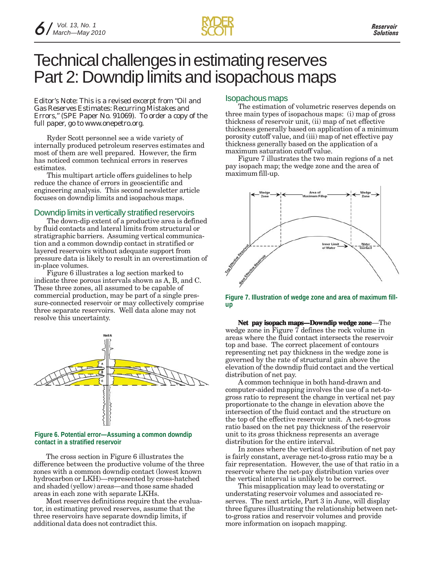

### Technical challenges in estimating reserves Part 2: Downdip limits and isopachous maps

*Editor's Note: This is a revised excerpt from "Oil and Gas Reserves Estimates: Recurring Mistakes and Errors," (SPE Paper No. 91069). To order a copy of the full paper, go to www.onepetro.org.*

Ryder Scott personnel see a wide variety of internally produced petroleum reserves estimates and most of them are well prepared. However, the firm has noticed common technical errors in reserves estimates.

This multipart article offers guidelines to help reduce the chance of errors in geoscientific and engineering analysis. This second newsletter article focuses on downdip limits and isopachous maps.

### Downdip limits in vertically stratified reservoirs

The down-dip extent of a productive area is defined by fluid contacts and lateral limits from structural or stratigraphic barriers. Assuming vertical communication and a common downdip contact in stratified or layered reservoirs without adequate support from pressure data is likely to result in an overestimation of in-place volumes.

Figure 6 illustrates a log section marked to indicate three porous intervals shown as A, B, and C. These three zones, all assumed to be capable of commercial production, may be part of a single pressure-connected reservoir or may collectively comprise three separate reservoirs. Well data alone may not resolve this uncertainty.

![](_page_5_Figure_10.jpeg)

#### **Figure 6. Potential error—Assuming a common downdip contact in a stratified reservoir**

The cross section in Figure 6 illustrates the difference between the productive volume of the three zones with a common downdip contact (lowest known hydrocarbon or LKH)—represented by cross-hatched and shaded (yellow) areas—and those same shaded areas in each zone with separate LKHs.

Most reserves definitions require that the evaluator, in estimating proved reserves, assume that the three reservoirs have separate downdip limits, if additional data does not contradict this.

### Isopachous maps

The estimation of volumetric reserves depends on three main types of isopachous maps: (i) map of gross thickness of reservoir unit, (ii) map of net effective thickness generally based on application of a minimum porosity cutoff value, and (iii) map of net effective pay thickness generally based on the application of a maximum saturation cutoff value.

Figure 7 illustrates the two main regions of a net pay isopach map; the wedge zone and the area of maximum fill-up.

![](_page_5_Figure_17.jpeg)

**Figure 7. Illustration of wedge zone and area of maximum fillup**

**Net pay isopach maps—Downdip wedge zone**—The wedge zone in Figure 7 defines the rock volume in areas where the fluid contact intersects the reservoir top and base. The correct placement of contours representing net pay thickness in the wedge zone is governed by the rate of structural gain above the elevation of the downdip fluid contact and the vertical distribution of net pay.

A common technique in both hand-drawn and computer-aided mapping involves the use of a net-togross ratio to represent the change in vertical net pay proportionate to the change in elevation above the intersection of the fluid contact and the structure on the top of the effective reservoir unit. A net-to-gross ratio based on the net pay thickness of the reservoir unit to its gross thickness represents an average distribution for the entire interval.

In zones where the vertical distribution of net pay is fairly constant, average net-to-gross ratio may be a fair representation. However, the use of that ratio in a reservoir where the net-pay distribution varies over the vertical interval is unlikely to be correct.

This misapplication may lead to overstating or understating reservoir volumes and associated reserves. The next article, Part 3 in June, will display three figures illustrating the relationship between netto-gross ratios and reservoir volumes and provide more information on isopach mapping.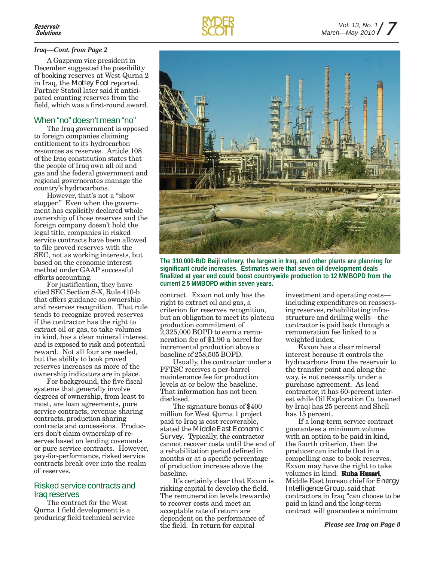A Gazprom vice president in December suggested the possibility of booking reserves at West Qurna 2 in Iraq, the *Motley Fool* reported. Partner Statoil later said it anticipated counting reserves from the field, which was a first-round award.

### When "no" doesn't mean "no"

The Iraq government is opposed to foreign companies claiming entitlement to its hydrocarbon resources as reserves. Article 108 of the Iraq constitution states that the people of Iraq own all oil and gas and the federal government and regional governorates manage the country's hydrocarbons.

However, that's not a "show stopper." Even when the government has explicitly declared whole ownership of those reserves and the foreign company doesn't hold the legal title, companies in risked service contracts have been allowed to file proved reserves with the SEC, not as working interests, but based on the economic interest method under GAAP successful efforts accounting.

For justification, they have cited SEC Section S-X, Rule 410-b that offers guidance on ownership and reserves recognition. That rule tends to recognize proved reserves if the contractor has the right to extract oil or gas, to take volumes in kind, has a clear mineral interest and is exposed to risk and potential reward. Not all four are needed, but the ability to book proved reserves increases as more of the ownership indicators are in place.

For background, the five fiscal systems that generally involve degrees of ownership, from least to most, are loan agreements, pure service contracts, revenue sharing contracts, production sharing contracts and concessions. Producers don't claim ownership of reserves based on lending covenants or pure service contracts. However, pay-for-performance, risked service contracts break over into the realm of reserves.

### Risked service contracts and Iraq reserves

The contract for the West Qurna 1 field development is a producing field technical service

![](_page_6_Picture_10.jpeg)

![](_page_6_Picture_11.jpeg)

**The 310,000-B/D Baiji refinery, the largest in Iraq, and other plants are planning for significant crude increases. Estimates were that seven oil development deals finalized at year end could boost countrywide production to 12 MMBOPD from the current 2.5 MMBOPD within seven years.**

contract. Exxon not only has the right to extract oil and gas, a criterion for reserves recognition, but an obligation to meet its plateau production commitment of 2,325,000 BOPD to earn a remuneration fee of \$1.90 a barrel for incremental production above a baseline of 258,505 BOPD.

Till T

Usually, the contractor under a PFTSC receives a per-barrel maintenance fee for production levels at or below the baseline. That information has not been disclosed.

The signature bonus of \$400 million for West Qurna 1 project paid to Iraq is cost recoverable, stated the *Middle East Economic Survey*. Typically, the contractor cannot recover costs until the end of a rehabilitation period defined in months or at a specific percentage of production increase above the baseline.

It's certainly clear that Exxon is risking capital to develop the field. The remuneration levels (rewards) to recover costs and meet an acceptable rate of return are dependent on the performance of the field. In return for capital

investment and operating costs including expenditures on reassessing reserves, rehabilitating infrastructure and drilling wells—the contractor is paid back through a remuneration fee linked to a weighted index.

Exxon has a clear mineral interest because it controls the hydrocarbons from the reservoir to the transfer point and along the way, is not necessarily under a purchase agreement. As lead contractor, it has 60-percent interest while Oil Exploration Co. (owned by Iraq) has 25 percent and Shell has 15 percent.

If a long-term service contract guarantees a minimum volume with an option to be paid in kind, the fourth criterion, then the producer can include that in a compelling case to book reserves. Exxon may have the right to take volumes in kind. **Ruba Husari**, Middle East bureau chief for *Energy Intelligence Group,* said that contractors in Iraq "can choose to be paid in kind and the long-term contract will guarantee a minimum

![](_page_6_Picture_22.jpeg)